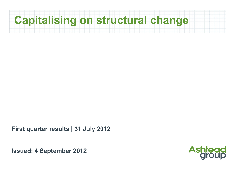

**First quarter results | 31 July 2012**

**Issued: 4 September 2012**

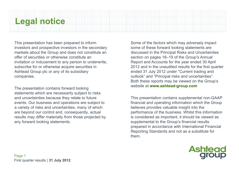# **Legal notice**

This presentation has been prepared to inform investors and prospective investors in the secondary markets about the Group and does not constitute an offer of securities or otherwise constitute an invitation or inducement to any person to underwrite, subscribe for or otherwise acquire securities in Ashtead Group plc or any of its subsidiary companies.

The presentation contains forward looking statements which are necessarily subject to risks and uncertainties because they relate to future events. Our business and operations are subject to a variety of risks and uncertainties, many of which are beyond our control and, consequently, actual results may differ materially from those projected by any forward looking statements.

Some of the factors which may adversely impact some of these forward looking statements are discussed in the Principal Risks and Uncertainties section on pages 18–19 of the Group's Annual Report and Accounts for the year ended 30 April 2012 and in the unaudited results for the first quarter ended 31 July 2012 under "Current trading and outlook" and "Principal risks and uncertainties". Both these reports may be viewed on the Group's website at **www.ashtead-group.com**

This presentation contains supplemental non-GAAP financial and operating information which the Group believes provides valuable insight into the performance of the business. Whilst this information is considered as important, it should be viewed as supplemental to the Group's financial results prepared in accordance with International Financial Reporting Standards and not as a substitute for them.

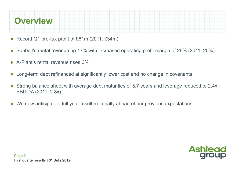

- 0 Record Q1 pre-tax profit of £61m (2011: £34m)
- $\bullet$ Sunbelt's rental revenue up 17% with increased operating profit margin of 26% (2011: 20%)
- $\bullet$ A-Plant's rental revenue rises 6%
- $\bullet$ Long-term debt refinanced at significantly lower cost and no change in covenants
- $\bullet$  Strong balance sheet with average debt maturities of 5.7 years and leverage reduced to 2.4x EBITDA (2011: 2.8x)
- $\bullet$ We now anticipate a full year result materially ahead of our previous expectations

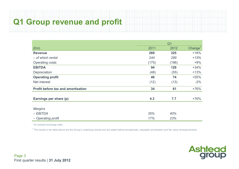# **Q1 Group revenue and profit**

|                                           |       | Q <sub>1</sub> |                     |
|-------------------------------------------|-------|----------------|---------------------|
| $(\text{Em})$                             | 2011  | 2012           | Change <sup>1</sup> |
| <b>Revenue</b>                            | 269   | 325            | $+18%$              |
| - of which rental                         | 244   | 289            | $+15%$              |
| <b>Operating costs</b>                    | (175) | (196)          | $+9%$               |
| <b>EBITDA</b>                             | 94    | 129            | $+34%$              |
| Depreciation                              | (48)  | (55)           | $+13%$              |
| <b>Operating profit</b>                   | 46    | 74             | $+55%$              |
| Net interest                              | (12)  | (13)           | $-2%$               |
| <b>Profit before tax and amortisation</b> | 34    | 61             | $+76%$              |
| Earnings per share (p)                    | 4.3   | 7.7            | $+76%$              |
| <b>Margins</b>                            |       |                |                     |
| $-EBITDA$                                 | 35%   | 40%            |                     |
| - Operating profit                        | 17%   | 23%            |                     |

<sup>1</sup> At constant exchange rates

 $2$  The results in the table above are the Group's underlying results and are stated before exceptionals, intangible amortisation and fair value remeasurements

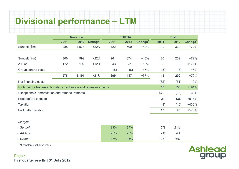# **Divisional performance – LTM**

|                                                                  | <b>Revenue</b>           |                          |                     |      | <b>EBITDA</b> |                     | <b>Profit</b> |      |                     |  |
|------------------------------------------------------------------|--------------------------|--------------------------|---------------------|------|---------------|---------------------|---------------|------|---------------------|--|
|                                                                  | 2011                     | 2012                     | Change <sup>1</sup> | 2011 | 2012          | Change <sup>1</sup> | 2011          | 2012 | Change <sup>1</sup> |  |
| Sunbelt (\$m)                                                    | 1,288                    | 1,578                    | $+22%$              | 422  | 590           | $+40%$              | 192           | 330  | $+72%$              |  |
|                                                                  |                          |                          |                     |      |               |                     |               |      |                     |  |
| Sunbelt (£m)                                                     | 806                      | 999                      | $+22%$              | 264  | 374           | $+40%$              | 120           | 209  | $+72%$              |  |
| A-Plant                                                          | 172                      | 192                      | $+12%$              | 43   | 51            | $+18%$              | 3             | 8    | $+170%$             |  |
| Group central costs                                              | $\overline{\phantom{0}}$ | $\overline{\phantom{0}}$ |                     | (8)  | (8)           | $+7%$               | (8)           | (8)  | $+7%$               |  |
|                                                                  | 978                      | 1,191                    | $+21%$              | 299  | 417           | $+37%$              | 115           | 209  | +79%                |  |
| Net financing costs                                              |                          |                          |                     |      |               |                     | (62)          | (51) | $-19%$              |  |
| Profit before tax, exceptionals, amortisation and remeasurements |                          |                          |                     |      |               |                     | 53            | 158  | $+191%$             |  |
| Exceptionals, amortisation and remeasurements                    |                          |                          |                     |      |               |                     | (32)          | (22) | $-33%$              |  |
| Profit before taxation                                           |                          |                          |                     |      |               |                     | 21            | 136  | +518%               |  |
| <b>Taxation</b>                                                  |                          |                          |                     |      |               |                     | (8)           | (46) | +430%               |  |
| Profit after taxation                                            |                          |                          |                     |      |               |                     | 13            | 90   | +576%               |  |
|                                                                  |                          |                          |                     |      |               |                     |               |      |                     |  |
| <b>Margins</b>                                                   |                          |                          |                     |      |               |                     |               |      |                     |  |
| - Sunbelt                                                        |                          |                          |                     | 33%  | 37%           |                     | 15%           | 21%  |                     |  |
| - A-Plant                                                        |                          |                          |                     | 25%  | 27%           |                     | 2%            | 4%   |                     |  |
| - Group                                                          |                          |                          |                     | 31%  | 35%           |                     | 12%           | 18%  |                     |  |

 $<sup>1</sup>$  At constant exchange rates</sup>

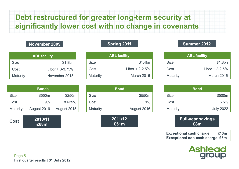# **Debt restructured for greater long-term security at significantly lower cost with no change in covenants**

#### **November 2009**

| <b>ABL facility</b> |                   |  |  |  |  |  |
|---------------------|-------------------|--|--|--|--|--|
| <b>Size</b>         | \$1.8bn           |  |  |  |  |  |
| Cost                | Libor + $3-3.75%$ |  |  |  |  |  |
| Maturity            | November 2013     |  |  |  |  |  |

| <b>ABL facility</b> |                    |  |  |  |  |  |
|---------------------|--------------------|--|--|--|--|--|
| <b>Size</b>         | \$1.4bn            |  |  |  |  |  |
| Cost                | Libor + $2 - 2.5%$ |  |  |  |  |  |
| <b>Maturity</b>     | March 2016         |  |  |  |  |  |

#### **Spring 2011 Summer 2012**

| <b>ABL facility</b> |                    |  |  |  |  |  |
|---------------------|--------------------|--|--|--|--|--|
| <b>Size</b>         | \$1.8bn            |  |  |  |  |  |
| Cost                | Libor + $2 - 2.5%$ |  |  |  |  |  |
| <b>Maturity</b>     | March 2016         |  |  |  |  |  |

|                 | <b>Bonds</b> |             |
|-----------------|--------------|-------------|
| <b>Size</b>     | \$550m       | \$250m      |
| Cost            | 9%           | 8.625%      |
| <b>Maturity</b> | August 2016  | August 2015 |

**2010/11£68m**

|                 | <b>Bond</b> |
|-----------------|-------------|
| <b>Size</b>     | \$550m      |
| Cost            | 9%          |
| <b>Maturity</b> | August 2016 |
|                 |             |

**2011/12£51m**Cost <sup>2010/11</sup><br>E68m **E68m** <del>E68m</del> E51m **E51m** 

| <b>Bond</b>     |                  |  |  |  |  |  |  |
|-----------------|------------------|--|--|--|--|--|--|
| <b>Size</b>     | \$500m           |  |  |  |  |  |  |
| Cost            | 6.5%             |  |  |  |  |  |  |
| <b>Maturity</b> | <b>July 2022</b> |  |  |  |  |  |  |

**Full-year savings £8m**

**Exceptional cash charge £13m Exceptional non-cash charge £5m**



Page 5 First quarter results | **31 July 2012**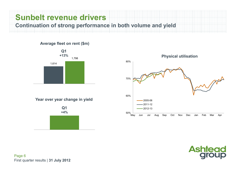# **Sunbelt revenue drivers**

**Continuation of strong performance in both volume and yield**

#### **Average fleet on rent (\$m)**



**Year over year change in yield**





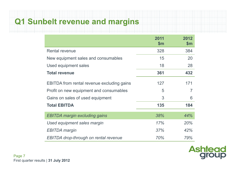## **Q1 Sunbelt revenue and margins**

|                                                   | 2011<br>$\mathsf{Sm}$ | 2012<br>\$m\$ |
|---------------------------------------------------|-----------------------|---------------|
| <b>Rental revenue</b>                             | 328                   | 384           |
| New equipment sales and consumables               | 15                    | 20            |
| Used equipment sales                              | 18                    | 28            |
| <b>Total revenue</b>                              | 361                   | 432           |
| <b>EBITDA</b> from rental revenue excluding gains | 127                   | 171           |
| Profit on new equipment and consumables           | 5                     | 7             |
| Gains on sales of used equipment                  | 3                     | 6             |
| <b>Total EBITDA</b>                               | 135                   | 184           |
| <b>EBITDA margin excluding gains</b>              | 38%                   | 44%           |
| Used equipment sales margin                       | 17%                   | 20%           |
| <b>EBITDA</b> margin                              | 37%                   | 42%           |
| <b>EBITDA</b> drop-through on rental revenue      | 70%                   | 79%           |

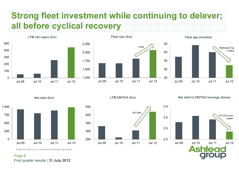# **Strong fleet investment while continuing to delever; all before cyclical recovery**



**LTM net capex (£m)**





**Fleet age (months)**

**Net debt (£m)**



**LTM EBITDA (£m)**





**0.4 of a turn lower**Jul 09 Jul 10 Jul 11 Jul 12**Ashtead** 

Note: All data is on a constant exchange rate basis

Page 8 First quarter results | **31 July 2012**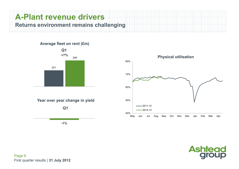### **A-Plant revenue driversReturns environment remains challenging**

**Average fleet on rent (£m)**





 **Physical utilisation** 40%50%60%70%80%May Jun Jul Aug Sep Oct Nov Dec Jan Feb Mar Apr 2011-122012-13

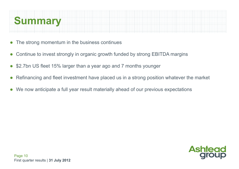

- $\bullet$ The strong momentum in the business continues
- $\bullet$ Continue to invest strongly in organic growth funded by strong EBITDA margins
- $\bullet$ \$2.7bn US fleet 15% larger than a year ago and 7 months younger
- $\bullet$ Refinancing and fleet investment have placed us in a strong position whatever the market
- $\bullet$ We now anticipate a full year result materially ahead of our previous expectations

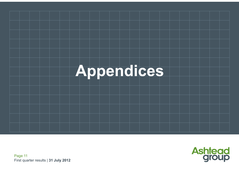



Page 11 First quarter results | **31 July 2012**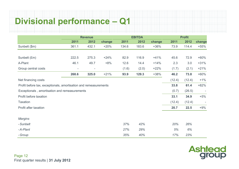# **Divisional performance – Q1**

|                                                                  | <b>Revenue</b> |                          |        |       | <b>EBITDA</b> |        | <b>Profit</b> |        |        |  |
|------------------------------------------------------------------|----------------|--------------------------|--------|-------|---------------|--------|---------------|--------|--------|--|
|                                                                  | 2011           | 2012                     | change | 2011  | 2012          | change | 2011          | 2012   | change |  |
| Sunbelt (\$m)                                                    | 361.1          | 432.1                    | $+20%$ | 134.6 | 183.6         | $+36%$ | 73.9          | 114.4  | $+55%$ |  |
|                                                                  |                |                          |        |       |               |        |               |        |        |  |
| Sunbelt (£m)                                                     | 222.5          | 275.3                    | $+24%$ | 82.9  | 116.9         | $+41%$ | 45.6          | 72.9   | $+60%$ |  |
| A-Plant                                                          | 46.1           | 49.7                     | $+8%$  | 12.6  | 14.4          | $+14%$ | 2.3           | 3.0    | $+31%$ |  |
| Group central costs                                              |                | $\overline{\phantom{a}}$ |        | (1.6) | (2.0)         | $+22%$ | (1.7)         | (2.1)  | $+21%$ |  |
|                                                                  | 268.6          | 325.0                    | $+21%$ | 93.9  | 129.3         | $+38%$ | 46.2          | 73.8   | $+60%$ |  |
| Net financing costs                                              |                |                          |        |       |               |        | (12.4)        | (12.4) | $+1\%$ |  |
| Profit before tax, exceptionals, amortisation and remeasurements |                |                          |        |       |               |        | 33.8          | 61.4   | $+82%$ |  |
| Exceptionals, amortisation and remeasurements                    |                |                          |        |       |               |        | (0.7)         | (26.5) |        |  |
| Profit before taxation                                           |                |                          |        |       |               |        | 33.1          | 34.9   | $+5%$  |  |
| <b>Taxation</b>                                                  |                |                          |        |       |               |        | (12.4)        | (12.4) |        |  |
| Profit after taxation                                            |                |                          |        |       |               |        | 20.7          | 22.5   | $+9%$  |  |
|                                                                  |                |                          |        |       |               |        |               |        |        |  |
| <b>Margins</b>                                                   |                |                          |        |       |               |        |               |        |        |  |
| - Sunbelt                                                        |                |                          |        | 37%   | 42%           |        | 20%           | 26%    |        |  |
| -A-Plant                                                         |                |                          |        | 27%   | 29%           |        | 5%            | 6%     |        |  |
| - Group                                                          |                |                          |        | 35%   | 40%           |        | 17%           | 23%    |        |  |

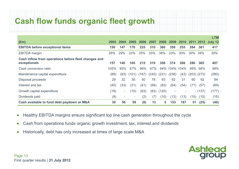# **Cash flow funds organic fleet growth**

|                                                                      |      |                          |                          |       |       |       |                          |                          |                 |           | <b>LTM</b>        |
|----------------------------------------------------------------------|------|--------------------------|--------------------------|-------|-------|-------|--------------------------|--------------------------|-----------------|-----------|-------------------|
| $(\text{Em})$                                                        | 2003 | 2004                     | 2005                     | 2006  | 2007  | 2008  | 2009                     | 2010                     |                 |           | 2011 2012 July 12 |
| <b>EBITDA before exceptional items</b>                               | 150  | 147                      | 170                      | 225   | 310   | 380   | 359                      | 255                      | 284             | 381       | 417               |
| <b>EBITDA</b> margin                                                 | 28%  | 29%                      | 32%                      | 35%   | 35%   | 38%   | 33%                      | 30%                      | 30%             | - 34%     | 35%               |
| Cash inflow from operations before fleet changes and<br>exceptionals | 157  | 140                      | 165                      | 215   | 319   | 356   | 374                      | 266                      | 280             | 365       | 407               |
| Cash conversion ratio                                                | 105% | 95%                      | 97%                      | 96%   | 97%   |       |                          | 94% 104% 104%            |                 | 99% 96%   | 98%               |
| Maintenance capital expenditure                                      | (89) | (83)                     | (101)                    | (167) | (245) | (231) | (236)                    | (43)                     | $(203)$ $(273)$ |           | (280)             |
| Disposal proceeds                                                    | 29   | 32                       | 36                       | 50    | 78    | 93    | 92                       | 31                       | 60              | 92        | 94                |
| Interest and tax                                                     | (40) | (33)                     | (31)                     | (41)  | (69)  | (83)  | (64)                     | (54)                     | (71)            | (57)      | (69)              |
| Growth capital expenditure                                           | (18) | $\overline{\phantom{a}}$ | (10)                     | (63)  | (63)  | (120) | $\overline{\phantom{a}}$ | $\overline{\phantom{a}}$ |                 | $- (137)$ | (177)             |
| Dividends paid                                                       | (9)  | $\overline{\phantom{a}}$ | $\overline{\phantom{a}}$ | (2)   | (7)   | (10)  | (13)                     | (13)                     | (15)            | (15)      | (15)              |
| Cash available to fund debt paydown or M&A                           | 30   | 56                       | 59                       | (8)   | 13    | 5     | 153                      | 187                      | 51              | (25)      | (40)              |

- $\bullet$ Healthy EBITDA margins ensure significant top line cash generation throughout the cycle
- $\bullet$ Cash from operations funds organic growth investment, tax, interest and dividends
- ●Historically, debt has only increased at times of large scale M&A

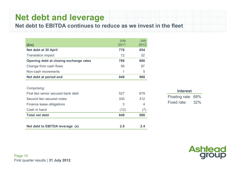# **Net debt and leverage**

**Net debt to EBITDA continues to reduce as we invest in the fleet**

|                                        | July | July |
|----------------------------------------|------|------|
| $(\text{Em})$                          | 2011 | 2012 |
| <b>Net debt at 30 April</b>            | 776  | 854  |
| <b>Translation impact</b>              | 12   | 32   |
| Opening debt at closing exchange rates | 788  | 886  |
| Change from cash flows                 | 59   | 97   |
| Non-cash movements                     | 1    | 5    |
| Net debt at period end                 | 848  | 988  |

| Net debt to EBITDA leverage (x)     | 2.8  | 2.4              |
|-------------------------------------|------|------------------|
| <b>Total net debt</b>               | 848  | 988              |
| Cash in hand                        | (12) | $($ ( $\prime$ ) |
| Finance lease obligations           | 3    | 4                |
| Second lien secured notes           | 330  | 312              |
| First lien senior secured bank debt | 527  | 679              |
| Comprising:                         |      |                  |

|  | ч. |  |
|--|----|--|
|  |    |  |

Floating rate: 68% Fixed rate: 32%